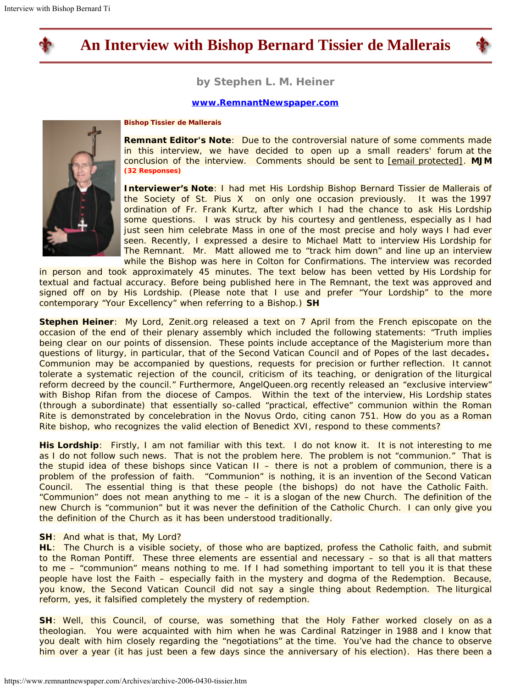

# **An Interview with Bishop Bernard Tissier de Mallerais**



**by Stephen L. M. Heiner**

### **[www.RemnantNewspaper.com](http://www.remnantnewspaper.com/)**



#### **Bishop Tissier de Mallerais**

**Remnant Editor's Note**: Due to the controversial nature of some comments made in this interview, we have decided to open up a small readers' forum at the conclusion of the interview. Comments should be sent to [email [protected\].](https://www.remnantnewspaper.com/cdn-cgi/l/email-protection#187d7c716c776a584a7d757679766c567d6f6b6879687d6a367b7775) **MJM (32 Responses)**

**Interviewer's Note**: *I had met His Lordship Bishop Bernard Tissier de Mallerais of the Society of St. Pius X on only one occasion previously. It was the 1997 ordination of Fr. Frank Kurtz, after which I had the chance to ask His Lordship some questions. I was struck by his courtesy and gentleness, especially as I had just seen him celebrate Mass in one of the most precise and holy ways I had ever seen. Recently, I expressed a desire to Michael Matt to interview His Lordship for The Remnant. Mr. Matt allowed me to "track him down" and line up an interview while the Bishop was here in Colton for Confirmations. The interview was recorded*

*in person and took approximately 45 minutes. The text below has been vetted by His Lordship for textual and factual accuracy. Before being published here in The Remnant, the text was approved and signed off on by His Lordship. (Please note that I use and prefer "Your Lordship" to the more contemporary "Your Excellency" when referring to a Bishop.)* **SH**

**Stephen Heiner**: *My Lord, Zenit.org released a text on 7 April from the French episcopate on the occasion of the end of their plenary assembly which included the following statements: "Truth implies being clear on our points of dissension. These points include acceptance of the Magisterium more than questions of liturgy, in particular, that of the Second Vatican Council and of Popes of the last decades. Communion may be accompanied by questions, requests for precision or further reflection. It cannot tolerate a systematic rejection of the council, criticism of its teaching, or denigration of the liturgical reform decreed by the council." Furthermore, AngelQueen.org recently released an "exclusive interview" with Bishop Rifan from the diocese of Campos. Within the text of the interview, His Lordship states (through a subordinate) that essentially so-called "practical, effective" communion within the Roman Rite is demonstrated by concelebration in the Novus Ordo, citing canon 751. How do you as a Roman Rite bishop, who recognizes the valid election of Benedict XVI, respond to these comments?*

**His Lordship**: Firstly, I am not familiar with this text. I do not know it. It is not interesting to me as I do not follow such news. That is not the problem here. The problem is not "communion." That is the stupid idea of these bishops since Vatican II – there is not a problem of communion, there is a problem of the profession of faith. "Communion" is nothing, it is an invention of the Second Vatican Council. The essential thing is that these people (the bishops) do not have the Catholic Faith. "Communion" does not mean anything to me – it is a slogan of the new Church. The definition of the new Church is "communion" but it was never the definition of the Catholic Church. I can only give you the definition of the Church as it has been understood traditionally.

#### **SH**: *And what is that, My Lord?*

**HL**: The Church is a visible society, of those who are baptized, profess the Catholic faith, and submit to the Roman Pontiff. These three elements are essential and necessary – so that is all that matters to me – "communion" means nothing to me. If I had something important to tell you it is that these people have lost the Faith – especially faith in the mystery and dogma of the Redemption. Because, you know, the Second Vatican Council did not say a single thing about Redemption. The liturgical reform, yes, it falsified completely the mystery of redemption.

**SH**: *Well, this Council, of course, was something that the Holy Father worked closely on as a theologian. You were acquainted with him when he was Cardinal Ratzinger in 1988 and I know that you dealt with him closely regarding the "negotiations" at the time. You've had the chance to observe him over a year (it has just been a few days since the anniversary of his election). Has there been a*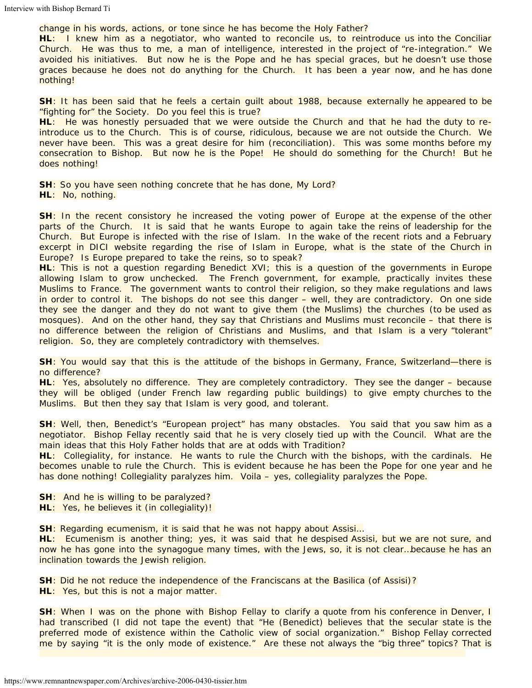# *change in his words, actions, or tone since he has become the Holy Father?*

**HL**: I knew him as a negotiator, who wanted to reconcile us, to reintroduce us into the Conciliar Church. He was thus to me, a man of intelligence, interested in the project of "re-integration." We avoided his initiatives. But now he is the Pope and he has special graces, but he doesn't use those graces because he does not do anything for the Church. It has been a year now, and he has done nothing!

# **SH**: *It has been said that he feels a certain guilt about 1988, because externally he appeared to be "fighting for" the Society. Do you feel this is true?*

**HL**: He was honestly persuaded that we were outside the Church and that he had the duty to reintroduce us to the Church. This is of course, ridiculous, because we are not outside the Church. We never have been. This was a great desire for him (reconciliation). This was some months before my consecration to Bishop. But now he is the Pope! He should do something for the Church! But he does nothing!

**SH**: *So you have seen nothing concrete that he has done, My Lord?* **HL**: No, nothing.

**SH**: *In the recent consistory he increased the voting power of Europe at the expense of the other parts of the Church. It is said that he wants Europe to again take the reins of leadership for the Church. But Europe is infected with the rise of Islam. In the wake of the recent riots and a February excerpt in DICI website regarding the rise of Islam in Europe, what is the state of the Church in Europe? Is Europe prepared to take the reins, so to speak?*

**HL**: This is not a question regarding Benedict XVI; this is a question of the governments in Europe allowing Islam to grow unchecked. The French government, for example, practically invites these Muslims to France. The government wants to control their religion, so they make regulations and laws in order to control it. The bishops do not see this danger – well, they are contradictory. On one side they see the danger and they do not want to give them (the Muslims) the churches (to be used as mosques). And on the other hand, they say that Christians and Muslims must reconcile – that there is no difference between the religion of Christians and Muslims, and that Islam is a very "tolerant" religion. So, they are completely contradictory with themselves.

**SH**: *You would say that this is the attitude of the bishops in Germany, France, Switzerland—there is no difference?*

**HL**: Yes, absolutely no difference. They are completely contradictory. They see the danger – because they will be obliged (under French law regarding public buildings) to give empty churches to the Muslims. But then they say that Islam is very good, and tolerant.

**SH**: *Well, then, Benedict's "European project" has many obstacles. You said that you saw him as a negotiator. Bishop Fellay recently said that he is very closely tied up with the Council. What are the main ideas that this Holy Father holds that are at odds with Tradition?*

**HL**: Collegiality, for instance. He wants to rule the Church *with* the bishops, *with* the cardinals. He becomes unable to rule the Church. This is evident because he has been the Pope for one year and he has done nothing! Collegiality paralyzes him. Voila – yes, collegiality paralyzes the Pope.

**SH**: *And he is willing to be paralyzed?*

**HL**: Yes, he believes it (in collegiality)!

**SH**: *Regarding ecumenism, it is said that he was not happy about Assisi…*

HL: Ecumenism is another thing; yes, it was said that he despised Assisi, but we are not sure, and now he has gone into the synagogue many times, with the Jews, so, it is not clear…because he has an inclination towards the Jewish religion.

**SH**: *Did he not reduce the independence of the Franciscans at the Basilica (of Assisi)?* **HL**: Yes, but this is not a major matter.

**SH**: *When I was on the phone with Bishop Fellay to clarify a quote from his conference in Denver, I had transcribed (I did not tape the event) that "He (Benedict) believes that the secular state is the preferred mode of existence within the Catholic view of social organization." Bishop Fellay corrected me by saying "it is the only mode of existence." Are these not always the "big three" topics? That is*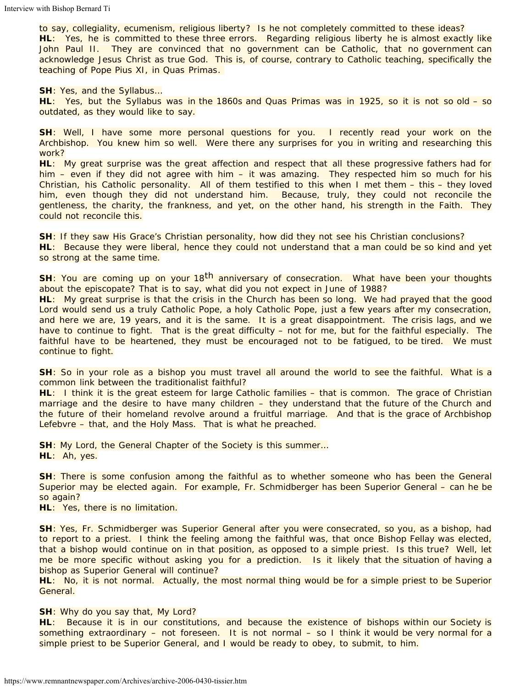*to say, collegiality, ecumenism, religious liberty? Is he not completely committed to these ideas?* **HL**: Yes, he is committed to these three *errors.* Regarding religious liberty he is almost exactly like John Paul II. They are convinced that no government can be Catholic, that no government can acknowledge Jesus Christ as true God. This is, of course, contrary to Catholic teaching, specifically the teaching of Pope Pius XI, in *Quas Primas*.

**SH**: *Yes, and the Syllabus…*

**HL**: Yes, but the Syllabus was in the 1860s and *Quas Primas* was in 1925, so it is not so old – so outdated, as they would like to say.

**SH**: *Well, I have some more personal questions for you. I recently read your work on the Archbishop. You knew him so well. Were there any surprises for you in writing and researching this work?*

**HL**: My great surprise was the *great affection and respect that all these progressive fathers had for him* – even if they did not agree with him – it was amazing. They respected him so much for his Christian, his Catholic personality. All of them testified to this when I met them – this – they *loved* him, even though they did not understand him. *Because, truly, they could not reconcile the gentleness, the charity, the frankness, and yet, on the other hand, his strength in the Faith.* They could not reconcile this.

**SH**: *If they saw His Grace's Christian personality, how did they not see his Christian conclusions?* **HL**: Because they were liberal, hence they could not understand that a man could be so kind and yet so strong at the same time.

SH: You are coming up on your 18<sup>th</sup> anniversary of consecration. What have been your thoughts *about the episcopate? That is to say, what did you not expect in June of 1988?*

**HL**: My great surprise is that the crisis in the Church has been so long. We had prayed that the good Lord would send us a truly Catholic Pope, a holy Catholic Pope, just a few years after my consecration, and here we are, 19 years, and it is the same. It is a great disappointment. The crisis lags, and we have to continue to fight. That is the great difficulty – not for me, but for the faithful especially. The faithful have to be heartened, they must be encouraged not to be fatigued, to be tired. *We must continue to fight.*

**SH**: *So in your role as a bishop you must travel all around the world to see the faithful. What is a common link between the traditionalist faithful?*

**HL**: I think it is the great esteem for large Catholic families – that is common. The grace of Christian marriage and the desire to have many children – they understand that the future of the Church and the future of their homeland revolve around a fruitful marriage. And that is the grace of Archbishop Lefebvre – that, and the Holy Mass. That is what he preached.

**SH**: *My Lord, the General Chapter of the Society is this summer…* **HL**: Ah, yes.

**SH**: *There is some confusion among the faithful as to whether someone who has been the General Superior may be elected again. For example, Fr. Schmidberger has been Superior General – can he be so again?*

**HL**: Yes, there is no limitation.

**SH**: *Yes, Fr. Schmidberger was Superior General after you were consecrated, so you, as a bishop, had to report to a priest. I think the feeling among the faithful was, that once Bishop Fellay was elected, that a bishop would continue on in that position, as opposed to a simple priest. Is this true? Well, let me be more specific without asking you for a prediction. Is it likely that the situation of having a bishop as Superior General will continue?*

**HL**: No, it is not normal. Actually, the most normal thing would be for a simple priest to be Superior General.

#### **SH**: *Why do you say that, My Lord?*

**HL**: Because it is in our constitutions, and because the existence of bishops within our Society is something extraordinary – not foreseen. It is not normal – so I think it would be very normal for a simple priest to be Superior General, and I would be ready to obey, to submit, to him.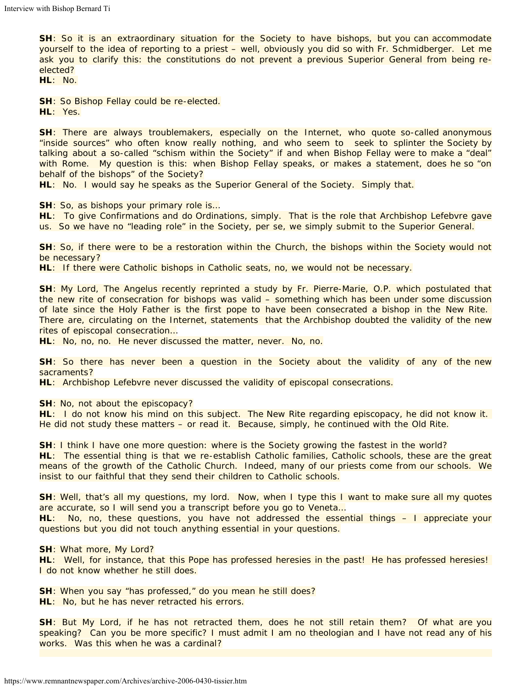**SH**: *So it is an extraordinary situation for the Society to have bishops, but you can accommodate yourself to the idea of reporting to a priest – well, obviously you did so with Fr. Schmidberger. Let me ask you to clarify this: the constitutions do not prevent a previous Superior General from being reelected?*

**HL**: No.

**SH**: *So Bishop Fellay could be re-elected.* **HL**: Yes.

**SH**: *There are always troublemakers, especially on the Internet, who quote so-called anonymous "inside sources" who often know really nothing, and who seem to seek to splinter the Society by talking about a so-called "schism within the Society" if and when Bishop Fellay were to make a "deal" with Rome. My question is this: when Bishop Fellay speaks, or makes a statement, does he so "on behalf of the bishops" of the Society?*

**HL**: No. I would say he speaks as the Superior General of the Society. Simply that.

**SH**: *So, as bishops your primary role is…*

**HL**: To give Confirmations and do Ordinations, simply. That is the role that Archbishop Lefebvre gave us. So we have no "leading role" in the Society, *per se*, we simply submit to the Superior General.

**SH**: *So, if there were to be a restoration within the Church, the bishops within the Society would not be necessary?*

**HL**: If there were Catholic bishops in Catholic seats, no, we would not be necessary.

**SH**: *My Lord,* The Angelus *recently reprinted a study by Fr. Pierre-Marie, O.P. which postulated that the new rite of consecration for bishops was valid – something which has been under some discussion of late since the Holy Father is the first pope to have been consecrated a bishop in the New Rite. There are, circulating on the Internet, statements that the Archbishop doubted the validity of the new rites of episcopal consecration…*

**HL**: No, no, no. He never discussed the matter, never. No, no.

**SH**: *So there has never been a question in the Society about the validity of any of the new sacraments?*

**HL**: Archbishop Lefebvre never discussed the validity of episcopal consecrations.

**SH**: *No, not about the episcopacy?*

**HL**: I do not know his mind on this subject. The New Rite regarding episcopacy, he did not know it. He did not study these matters – or read it. Because, simply, he continued with the Old Rite.

**SH**: *I think I have one more question: where is the Society growing the fastest in the world?* **HL**: The essential thing is that we re-establish Catholic families, Catholic schools, these are the great means of the growth of the Catholic Church. Indeed, many of our priests come from our schools. We insist to our faithful that they send their children to Catholic schools.

**SH**: *Well, that's all my questions, my lord. Now, when I type this I want to make sure all my quotes are accurate, so I will send you a transcript before you go to Veneta…*

**HL**: No, no, these questions, you have not addressed the essential things – I appreciate your questions but you did not touch anything essential in your questions.

**SH**: *What more, My Lord?*

**HL**: Well, for instance, that this Pope has professed heresies in the past! He has professed heresies! I do not know whether he still does.

**SH**: *When you say "has professed," do you mean he still does?* **HL**: No, but he has never retracted his errors.

**SH**: *But My Lord, if he has not retracted them, does he not still retain them? Of what are you speaking? Can you be more specific? I must admit I am no theologian and I have not read any of his works. Was this when he was a cardinal?*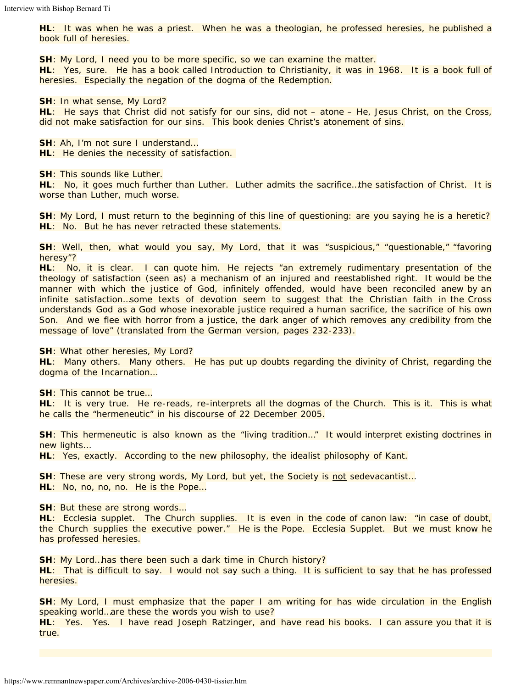**HL**: It was when he was a priest. When he was a theologian, he professed heresies, he published a book full of heresies.

**SH**: *My Lord, I need you to be more specific, so we can examine the matter.*

**HL**: Yes, sure. He has a book called *Introduction to Christianity*, it was in 1968*.* It is a book full of heresies. Especially the negation of the dogma of the Redemption.

**SH**: *In what sense, My Lord?*

**HL**: He says that Christ did not satisfy for our sins, did not – atone – He, Jesus Christ, on the Cross, did not make satisfaction for our sins. This book denies Christ's atonement of sins.

**SH**: *Ah, I'm not sure I understand…*

**HL**: He denies the necessity of satisfaction.

**SH**: *This sounds like Luther.*

**HL**: No, it goes much further than Luther. Luther admits the sacrifice…the satisfaction of Christ. It is worse than Luther, much worse.

**SH**: *My Lord, I must return to the beginning of this line of questioning: are you saying he is a heretic?* **HL**: No. But he has never retracted these statements.

**SH**: *Well, then, what would you say, My Lord, that it was "suspicious," "questionable," "favoring heresy"?*

**HL**: No, it is clear. I can quote him. He rejects *"an extremely rudimentary presentation of the theology of satisfaction (seen as) a mechanism of an injured and reestablished right. It would be the manner with which the justice of God, infinitely offended, would have been reconciled anew by an infinite satisfaction…some texts of devotion seem to suggest that the Christian faith in the Cross understands God as a God whose inexorable justice required a human sacrifice, the sacrifice of his own Son. And we flee with horror from a justice, the dark anger of which removes any credibility from the message of love"* (translated from the German version, pages 232-233).

**SH**: *What other heresies, My Lord?*

**HL**: Many others. Many others. He has put up doubts regarding the divinity of Christ, regarding the dogma of the Incarnation…

**SH**: *This cannot be true…*

**HL**: It is very true. He re-reads, re-interprets all the dogmas of the Church. This is it. This is what he calls the "hermeneutic" in his discourse of 22 December 2005.

**SH**: *This hermeneutic is also known as the "living tradition…" It would interpret existing doctrines in new lights…*

**HL**: Yes, exactly. According to the new philosophy, the idealist philosophy of Kant.

**SH**: *These are very strong words, My Lord, but yet, the Society is not sedevacantist…* **HL**: No, no, no, no. He is the Pope…

**SH**: *But these are strong words…*

heresies.

**HL**: *Ecclesia supplet.* The Church supplies. It is even in the code of canon law: "in case of doubt, the Church supplies the executive power." He is the Pope. *Ecclesia Supplet.* But we must know he has professed heresies.

**SH**: *My Lord…has there been such a dark time in Church history?* **HL**: That is difficult to say. I would not say such a thing. It is sufficient to say that he has professed

**SH**: *My Lord, I must emphasize that the paper I am writing for has wide circulation in the English speaking world…are these the words you wish to use?*

**HL**: Yes. Yes. I have read Joseph Ratzinger, and have read his books. I can assure you that it is true.